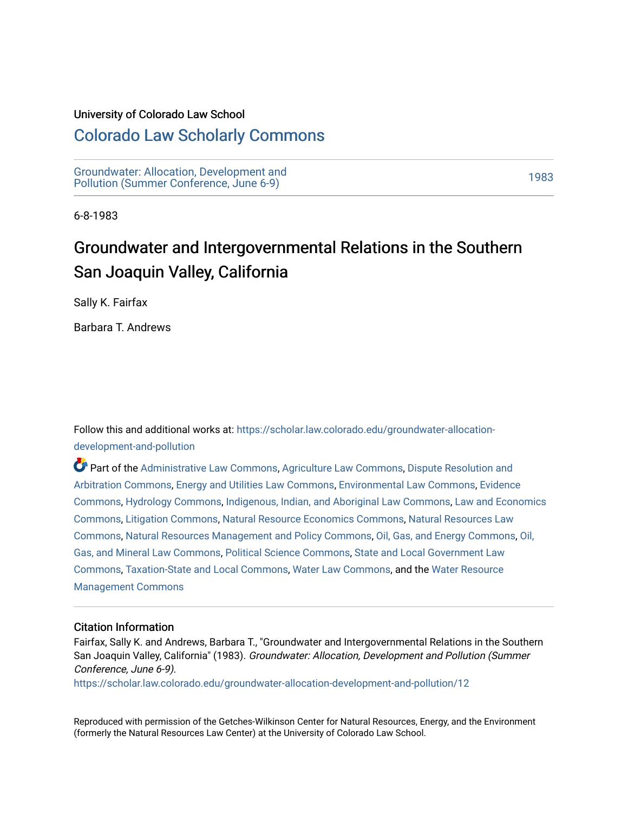#### University of Colorado Law School

# [Colorado Law Scholarly Commons](https://scholar.law.colorado.edu/)

[Groundwater: Allocation, Development and](https://scholar.law.colorado.edu/groundwater-allocation-development-and-pollution)  [Pollution \(Summer Conference, June 6-9\)](https://scholar.law.colorado.edu/groundwater-allocation-development-and-pollution) [1983](https://scholar.law.colorado.edu/conferences1983) 

6-8-1983

# Groundwater and Intergovernmental Relations in the Southern San Joaquin Valley, California

Sally K. Fairfax

Barbara T. Andrews

Follow this and additional works at: [https://scholar.law.colorado.edu/groundwater-allocation](https://scholar.law.colorado.edu/groundwater-allocation-development-and-pollution?utm_source=scholar.law.colorado.edu%2Fgroundwater-allocation-development-and-pollution%2F12&utm_medium=PDF&utm_campaign=PDFCoverPages)[development-and-pollution](https://scholar.law.colorado.edu/groundwater-allocation-development-and-pollution?utm_source=scholar.law.colorado.edu%2Fgroundwater-allocation-development-and-pollution%2F12&utm_medium=PDF&utm_campaign=PDFCoverPages)

Part of the [Administrative Law Commons,](http://network.bepress.com/hgg/discipline/579?utm_source=scholar.law.colorado.edu%2Fgroundwater-allocation-development-and-pollution%2F12&utm_medium=PDF&utm_campaign=PDFCoverPages) [Agriculture Law Commons](http://network.bepress.com/hgg/discipline/581?utm_source=scholar.law.colorado.edu%2Fgroundwater-allocation-development-and-pollution%2F12&utm_medium=PDF&utm_campaign=PDFCoverPages), [Dispute Resolution and](http://network.bepress.com/hgg/discipline/890?utm_source=scholar.law.colorado.edu%2Fgroundwater-allocation-development-and-pollution%2F12&utm_medium=PDF&utm_campaign=PDFCoverPages) [Arbitration Commons](http://network.bepress.com/hgg/discipline/890?utm_source=scholar.law.colorado.edu%2Fgroundwater-allocation-development-and-pollution%2F12&utm_medium=PDF&utm_campaign=PDFCoverPages), [Energy and Utilities Law Commons](http://network.bepress.com/hgg/discipline/891?utm_source=scholar.law.colorado.edu%2Fgroundwater-allocation-development-and-pollution%2F12&utm_medium=PDF&utm_campaign=PDFCoverPages), [Environmental Law Commons,](http://network.bepress.com/hgg/discipline/599?utm_source=scholar.law.colorado.edu%2Fgroundwater-allocation-development-and-pollution%2F12&utm_medium=PDF&utm_campaign=PDFCoverPages) [Evidence](http://network.bepress.com/hgg/discipline/601?utm_source=scholar.law.colorado.edu%2Fgroundwater-allocation-development-and-pollution%2F12&utm_medium=PDF&utm_campaign=PDFCoverPages)  [Commons](http://network.bepress.com/hgg/discipline/601?utm_source=scholar.law.colorado.edu%2Fgroundwater-allocation-development-and-pollution%2F12&utm_medium=PDF&utm_campaign=PDFCoverPages), [Hydrology Commons](http://network.bepress.com/hgg/discipline/1054?utm_source=scholar.law.colorado.edu%2Fgroundwater-allocation-development-and-pollution%2F12&utm_medium=PDF&utm_campaign=PDFCoverPages), [Indigenous, Indian, and Aboriginal Law Commons](http://network.bepress.com/hgg/discipline/894?utm_source=scholar.law.colorado.edu%2Fgroundwater-allocation-development-and-pollution%2F12&utm_medium=PDF&utm_campaign=PDFCoverPages), [Law and Economics](http://network.bepress.com/hgg/discipline/612?utm_source=scholar.law.colorado.edu%2Fgroundwater-allocation-development-and-pollution%2F12&utm_medium=PDF&utm_campaign=PDFCoverPages)  [Commons](http://network.bepress.com/hgg/discipline/612?utm_source=scholar.law.colorado.edu%2Fgroundwater-allocation-development-and-pollution%2F12&utm_medium=PDF&utm_campaign=PDFCoverPages), [Litigation Commons,](http://network.bepress.com/hgg/discipline/910?utm_source=scholar.law.colorado.edu%2Fgroundwater-allocation-development-and-pollution%2F12&utm_medium=PDF&utm_campaign=PDFCoverPages) [Natural Resource Economics Commons,](http://network.bepress.com/hgg/discipline/169?utm_source=scholar.law.colorado.edu%2Fgroundwater-allocation-development-and-pollution%2F12&utm_medium=PDF&utm_campaign=PDFCoverPages) [Natural Resources Law](http://network.bepress.com/hgg/discipline/863?utm_source=scholar.law.colorado.edu%2Fgroundwater-allocation-development-and-pollution%2F12&utm_medium=PDF&utm_campaign=PDFCoverPages)  [Commons](http://network.bepress.com/hgg/discipline/863?utm_source=scholar.law.colorado.edu%2Fgroundwater-allocation-development-and-pollution%2F12&utm_medium=PDF&utm_campaign=PDFCoverPages), [Natural Resources Management and Policy Commons,](http://network.bepress.com/hgg/discipline/170?utm_source=scholar.law.colorado.edu%2Fgroundwater-allocation-development-and-pollution%2F12&utm_medium=PDF&utm_campaign=PDFCoverPages) [Oil, Gas, and Energy Commons,](http://network.bepress.com/hgg/discipline/171?utm_source=scholar.law.colorado.edu%2Fgroundwater-allocation-development-and-pollution%2F12&utm_medium=PDF&utm_campaign=PDFCoverPages) [Oil,](http://network.bepress.com/hgg/discipline/864?utm_source=scholar.law.colorado.edu%2Fgroundwater-allocation-development-and-pollution%2F12&utm_medium=PDF&utm_campaign=PDFCoverPages)  [Gas, and Mineral Law Commons](http://network.bepress.com/hgg/discipline/864?utm_source=scholar.law.colorado.edu%2Fgroundwater-allocation-development-and-pollution%2F12&utm_medium=PDF&utm_campaign=PDFCoverPages), [Political Science Commons](http://network.bepress.com/hgg/discipline/386?utm_source=scholar.law.colorado.edu%2Fgroundwater-allocation-development-and-pollution%2F12&utm_medium=PDF&utm_campaign=PDFCoverPages), [State and Local Government Law](http://network.bepress.com/hgg/discipline/879?utm_source=scholar.law.colorado.edu%2Fgroundwater-allocation-development-and-pollution%2F12&utm_medium=PDF&utm_campaign=PDFCoverPages) [Commons](http://network.bepress.com/hgg/discipline/879?utm_source=scholar.law.colorado.edu%2Fgroundwater-allocation-development-and-pollution%2F12&utm_medium=PDF&utm_campaign=PDFCoverPages), [Taxation-State and Local Commons](http://network.bepress.com/hgg/discipline/882?utm_source=scholar.law.colorado.edu%2Fgroundwater-allocation-development-and-pollution%2F12&utm_medium=PDF&utm_campaign=PDFCoverPages), [Water Law Commons,](http://network.bepress.com/hgg/discipline/887?utm_source=scholar.law.colorado.edu%2Fgroundwater-allocation-development-and-pollution%2F12&utm_medium=PDF&utm_campaign=PDFCoverPages) and the [Water Resource](http://network.bepress.com/hgg/discipline/1057?utm_source=scholar.law.colorado.edu%2Fgroundwater-allocation-development-and-pollution%2F12&utm_medium=PDF&utm_campaign=PDFCoverPages) [Management Commons](http://network.bepress.com/hgg/discipline/1057?utm_source=scholar.law.colorado.edu%2Fgroundwater-allocation-development-and-pollution%2F12&utm_medium=PDF&utm_campaign=PDFCoverPages)

#### Citation Information

Fairfax, Sally K. and Andrews, Barbara T., "Groundwater and Intergovernmental Relations in the Southern San Joaquin Valley, California" (1983). Groundwater: Allocation, Development and Pollution (Summer Conference, June 6-9).

[https://scholar.law.colorado.edu/groundwater-allocation-development-and-pollution/12](https://scholar.law.colorado.edu/groundwater-allocation-development-and-pollution/12?utm_source=scholar.law.colorado.edu%2Fgroundwater-allocation-development-and-pollution%2F12&utm_medium=PDF&utm_campaign=PDFCoverPages) 

Reproduced with permission of the Getches-Wilkinson Center for Natural Resources, Energy, and the Environment (formerly the Natural Resources Law Center) at the University of Colorado Law School.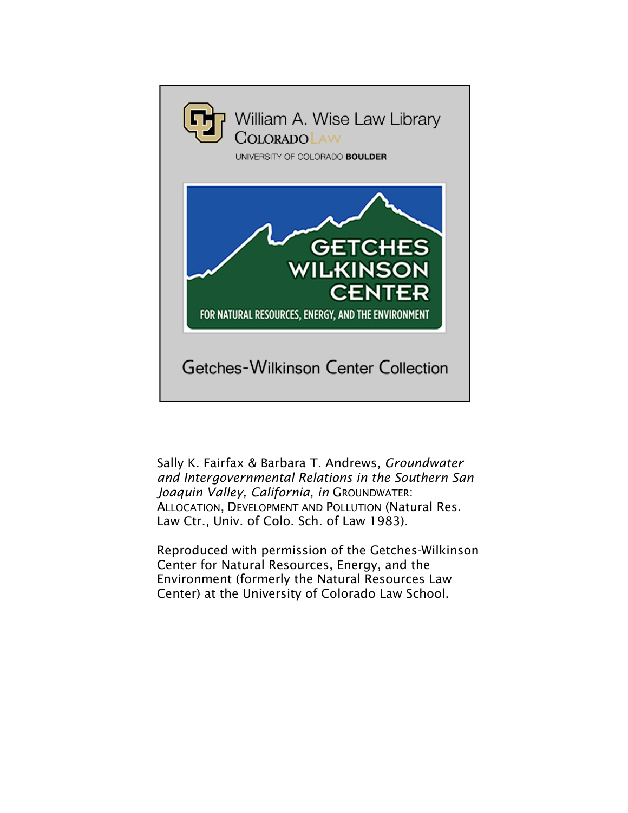

Sally K. Fairfax & Barbara T. Andrews, *Groundwater and Intergovernmental Relations in the Southern San Joaquin Valley, California*, *in* GROUNDWATER: ALLOCATION, DEVELOPMENT AND POLLUTION (Natural Res. Law Ctr., Univ. of Colo. Sch. of Law 1983).

Reproduced with permission of the Getches-Wilkinson Center for Natural Resources, Energy, and the Environment (formerly the Natural Resources Law Center) at the University of Colorado Law School.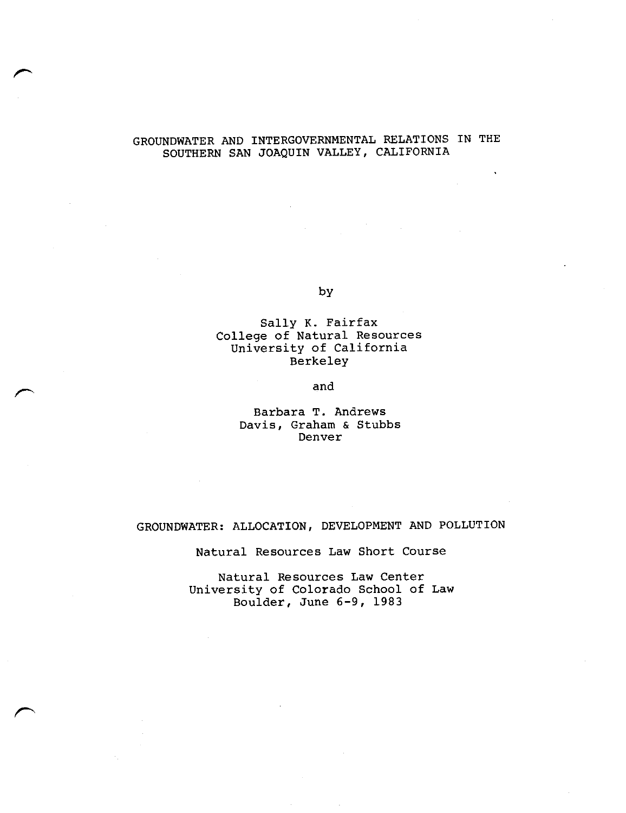# GROUNDWATER AND INTERGOVERNMENTAL RELATIONS IN THE SOUTHERN SAN JOAQUIN VALLEY, CALIFORNIA

by

Sally K. Fairfax College of Natural Resources University of California Berkeley

 $\sqrt{ }$  and

Barbara T. Andrews Davis, Graham & Stubbs Denver

GROUNDWATER: ALLOCATION, DEVELOPMENT AND POLLUTION

Natural Resources Law Short Course

Natural Resources Law Center University of Colorado School of Law Boulder, June 6-9, 1983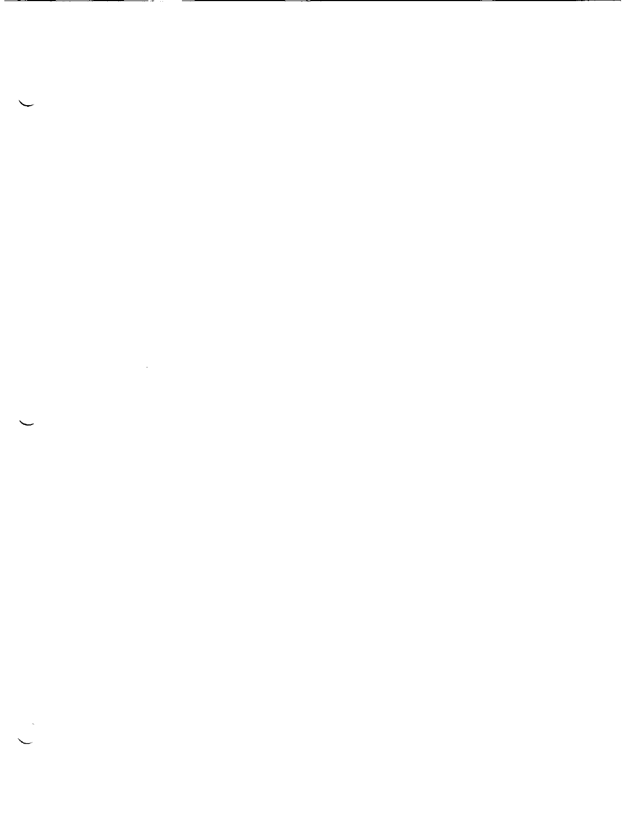$\label{eq:2.1} \frac{1}{\sqrt{2}}\int_{0}^{\infty}\frac{1}{\sqrt{2\pi}}\left(\frac{1}{\sqrt{2\pi}}\right)^{2\alpha} \frac{1}{\sqrt{2\pi}}\int_{0}^{\infty}\frac{1}{\sqrt{2\pi}}\left(\frac{1}{\sqrt{2\pi}}\right)^{\alpha} \frac{1}{\sqrt{2\pi}}\int_{0}^{\infty}\frac{1}{\sqrt{2\pi}}\frac{1}{\sqrt{2\pi}}\frac{1}{\sqrt{2\pi}}\frac{1}{\sqrt{2\pi}}\frac{1}{\sqrt{2\pi}}\frac{1}{\sqrt{2\pi}}\frac{1}{\sqrt{2\pi}}$  $\sim$ 

- -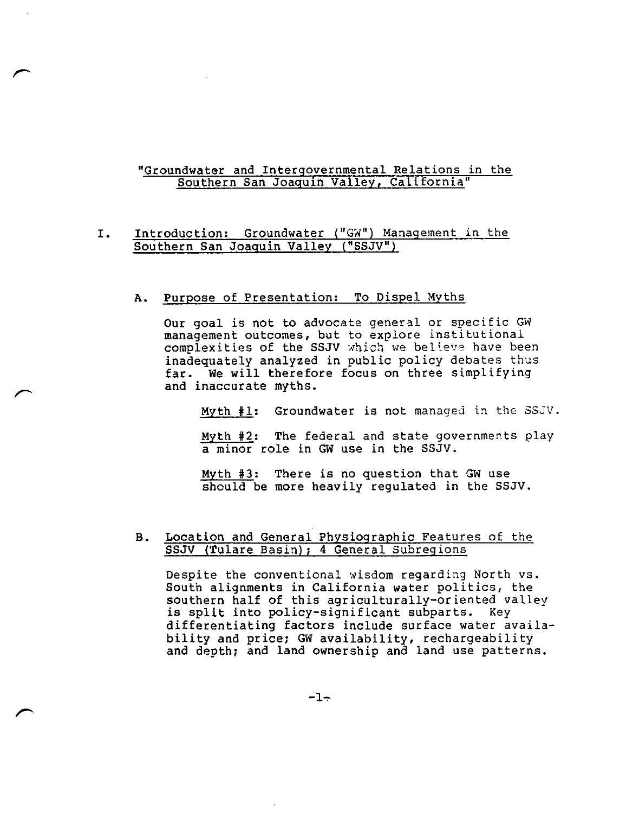# "Groundwater and Intergovernmental Relations in the Southern San Joaquin Valley, California"

#### I. Introduction: Groundwater ("GW") Management in the Southern San Joaquin Valley ("SSJV")

#### A. Purpose of Presentation: To Dispel Myths

Our goal is not to advocate general or specific GW management outcomes, but to explore institutional complexities of the SSJV which we believe have been inadequately analyzed in public policy debates thus far. We will therefore focus on three simplifying and inaccurate myths.

Myth #1: Groundwater is not managed in the SSJV.

Myth #2: The federal and state governments play a minor role in GW use in the SSJV.

Myth #3: There is no question that GW use should be more heavily regulated in the SSJV.

#### B. Location and General Physiographic Features of the SSJV (Tulare Basin); 4 General Subregions

Despite the conventional wisdom regarding North vs. South alignments in California water politics, the southern half of this agriculturally-oriented valley is split into policy-significant subparts. Key differentiating factors include surface water availability and price; GW availability, rechargeability and depth; and land ownership and land use patterns.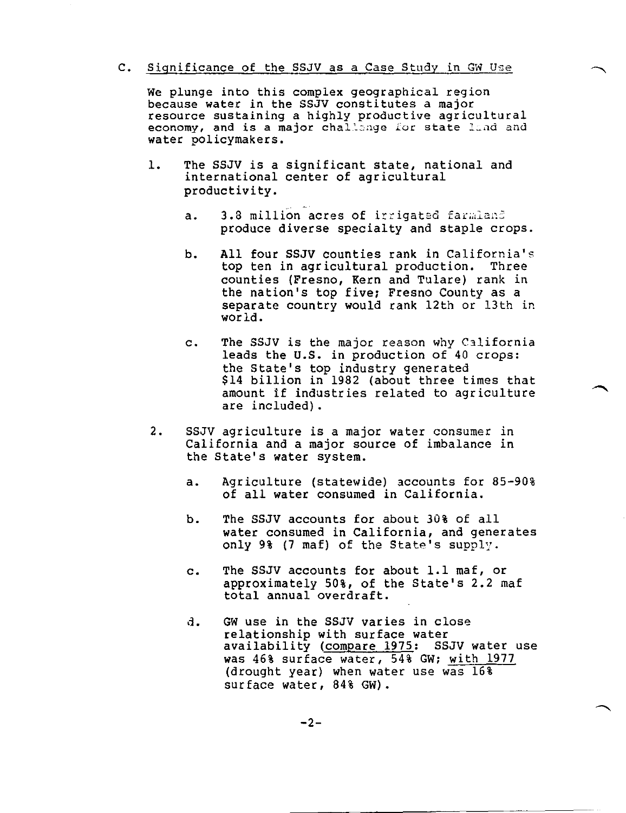#### C. Significance of the SSJV as a Case Study in GW Use

We plunge into this complex geographical region because water in the SSJV constitutes a major resource sustaining a highly productive agricultural economy, and is a major challinge for state land and water policymakers.

- 1. The SSJV is a significant state, national and international center of agricultural productivity.
	- a. 3.8 million acres of irrigated farmland produce diverse specialty and staple crops.
	- b. All four SSJV counties rank in California's top ten in agricultural production. Three counties (Fresno, Kern and Tulare) rank in the nation's top five; Fresno County as a separate country would rank 12th or 13th in world.
	- c. The SSJV is the major reason why California leads the U.S. in production of 40 crops: the State's top industry generated \$14 billion in 1982 (about three times that amount if industries related to agriculture are included).
- 2. SSJV agriculture is a major water consumer in California and a major source of imbalance in the State's water system.
	- a. Agriculture (statewide) accounts for 85-90% of all water consumed in California.
	- b. The SSJV accounts for about 30% of all water consumed in California, and generates only 9% (7 maf) of the State's supply.
	- c. The SSJV accounts for about 1.1 maf, or approximately 50%, of the State's 2.2 maf total annual overdraft.
	- d. GW use in the *SSJV* varies in close relationship with surface water availability (compare 1975: *SSJV* water use was 46% surface water, 54% GW; with 1977 (drought year) when water use was 16% surface water, 84% GW).

 $-2-$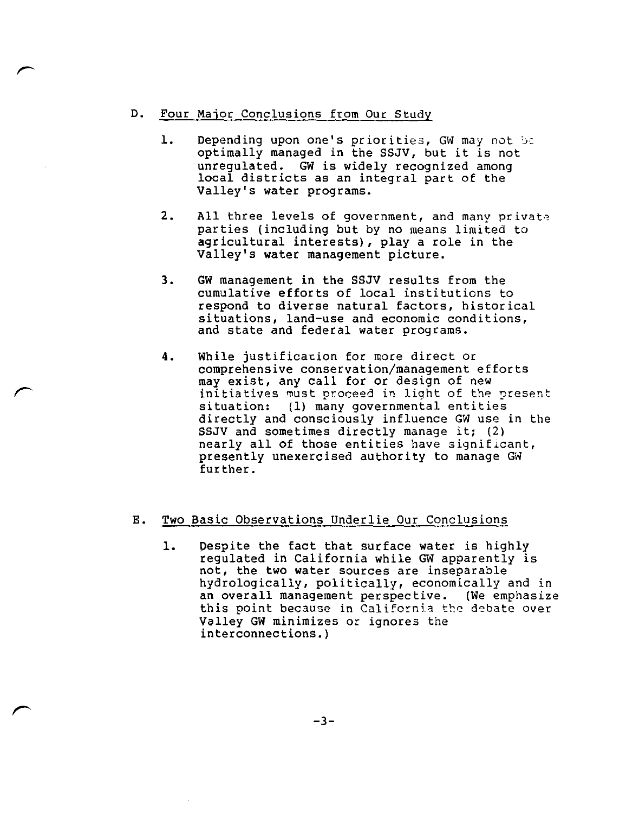# D. Four Major Conclusions from Our Study

- 1. Depending upon one's priorities, GW may not be optimally managed in the SSJV, but it is not unregulated. GW is widely recognized among local districts as an integral part of the Valley's water programs.
- 2. All three levels of government, and many private parties (including but by no means limited to agricultural interests), play a role in the Valley's water management picture.
- 3. GW management in the SSJV results from the cumulative efforts of local institutions to respond to diverse natural factors, historical situations, land-use and economic conditions, and state and federal water programs.
- 4. While justification for more direct or comprehensive conservation/management efforts may exist, any call for or design of new initiatives must proceed in light of the present situation: (1) many governmental entities directly and consciously influence GW use in the SSJV and sometimes directly manage it; (2) nearly all of those entities have significant, presently unexercised authority to manage GW further.

#### E. Two Basic Observations Underlie Our Conclusions

1. Despite the fact that surface water is highly regulated in California while GW apparently is not, the two water sources are inseparable hydrologically, politically, economically and in an overall management perspective. (We emphasize this point because in California the debate over Valley GW minimizes or ignores the interconnections.)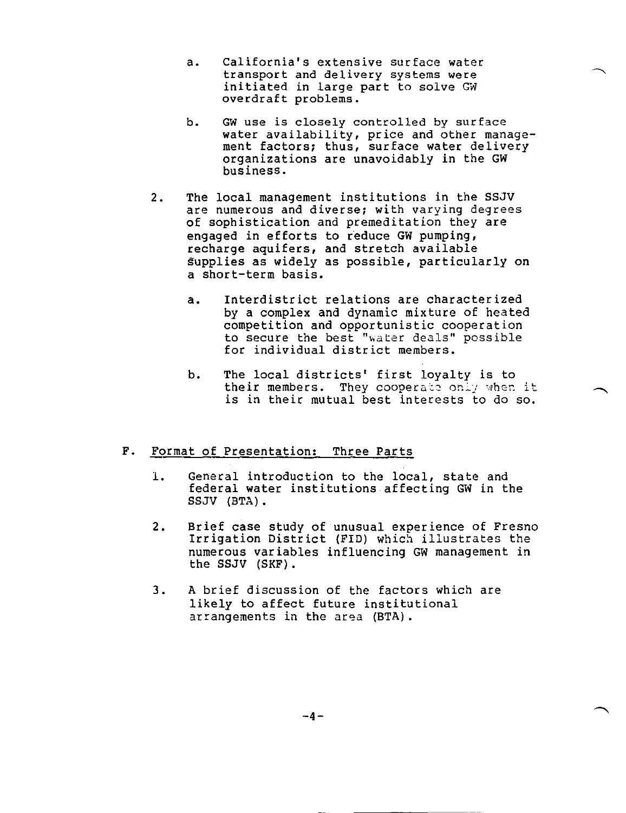- a. California's extensive surface water transport and delivery systems were initiated in large part to solve OW overdraft problems.
- b. GW use is closely controlled by surface water availability, price and other management factors; thus, surface water delivery organizations are unavoidably in the GW business.
- 2. The local management institutions in the SSJV are numerous and diverse; with varying degrees of sophistication and premeditation they are engaged in efforts to reduce GW pumping, recharge aquifers, and stretch available supplies as widely as possible, particularly on a short-term basis.
	- a. Interdistrict relations are characterized by a complex and dynamic mixture of heated competition and opportunistic cooperation to secure the best "water deals" possible for individual district members.
	- b. The local districts' first loyalty is to their members. They cooperate only when it is in their mutual best interests to do so.

#### F. Format of Presentation: Three Parts

- i. General introduction to the local, state and federal water institutions affecting GW in the SSJV (BTA).
- 2. Brief case study of unusual experience of Fresno Irrigation District (FID) which illustrates the numerous variables influencing GW management in the SSJV (SKF).
- 3. A brief discussion of the factors which are likely to affect future institutional arrangements in the area (BTA).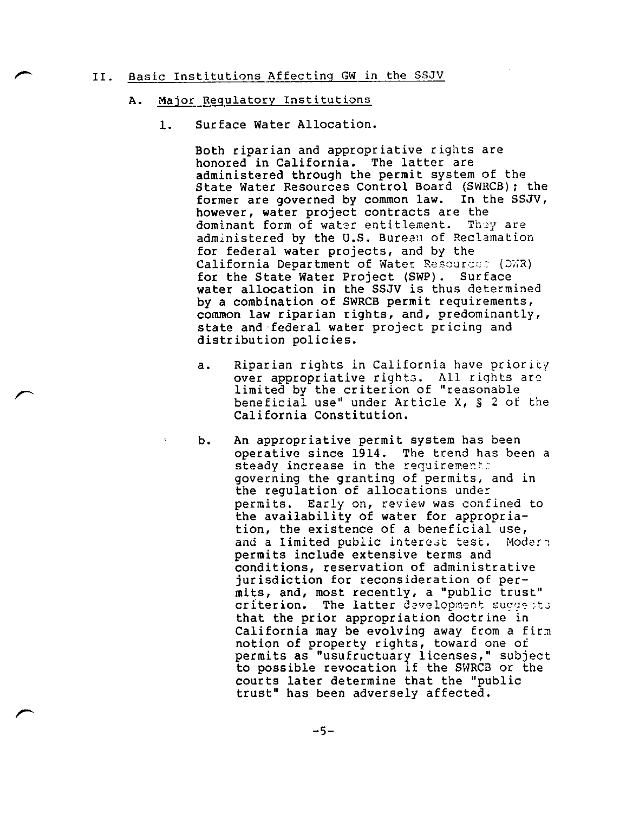#### II. Basic Institutions Affecting GW in the SSJV

#### A. Major Requlatory Institutions

1. Surface Water Allocation.

Both riparian and appropriative rights are honored in California. The latter are administered through the permit system of the State Water Resources Control Board (SWRCB); the former are governed by common law. In the SSJV, however, water project contracts are the dominant form of water entitlement. They are administered by the U.S. Bureau of Reclamation for federal water projects, and by the California Department of Water Resource: (DWR) for the State Water Project (SWP). Surface water allocation in the SSJV is thus determined by a combination of SWRCB permit requirements, common law riparian rights, and, predominantly, state and federal water project pricing and distribution policies.

- a. Riparian rights in California have priority over appropriative rights. All rights are limited by the criterion of "reasonable beneficial use" under Article X, 3 2 of the California Constitution.
- b. An appropriative permit system has been operative since 1914. The trend has been a steady increase in the requirements governing the granting of permits, and in the regulation of allocations under permits. Early on, review was confined to the availability of water for appropriation, the existence of a beneficial use, and a limited public interest test. Modern permits include extensive terms and conditions, reservation of administrative jurisdiction for reconsideration of permits, and, most recently, a "public trust" criterion. The latter development suggests that the prior appropriation doctrine in California may be evolving away from a firm notion of property rights, toward one of permits as "usufructuary licenses," subject to possible revocation if the SWRCB or the courts later determine that the "public trust" has been adversely affected.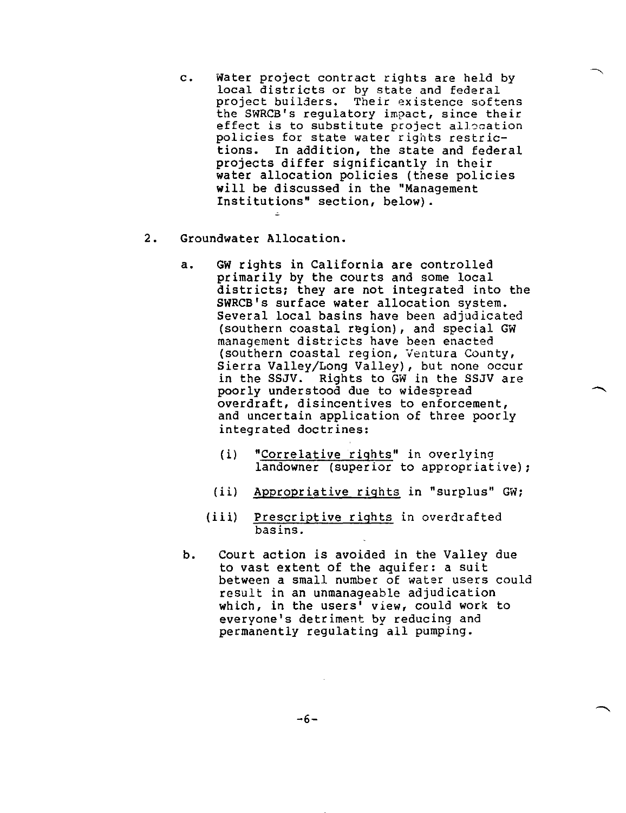- c. Water project contract rights are held by local districts or by state and federal project builders. Their existence softens the SWRCB's regulatory impact, since their effect is to substitute project allocation policies for state water rights restrictions. In addition, the state and federal projects differ significantly in their water allocation policies (these policies will be discussed in the "Management Institutions" section, below).
- 2. Groundwater Allocation.
	- a. GW rights in California are controlled primarily by the courts and some local districts; they are not integrated into the SWRCB's surface water allocation system. Several local basins have been adjudicated (southern coastal region), and special GW management districts have been enacted (southern coastal region, Ventura County, Sierra Valley/Long Valley), but none occur in the SSJV. Rights to GW in the SSJV are poorly understood due to widespread overdraft, disincentives to enforcement, and uncertain application of three poorly integrated doctrines:
		- (i) "Correlative rights" in overlying landowner (superior to appropriative);
		- (ii) Appropriative rights in "surplus" GW;
		- (iii) Prescriptive rights in overdrafted basins.
	- b. Court action is avoided in the Valley due to vast extent of the aquifer: a suit between a small number of water users could result in an unmanageable adjudication which, in the users' view, could work to everyone's detriment by reducing and permanently regulating all pumping.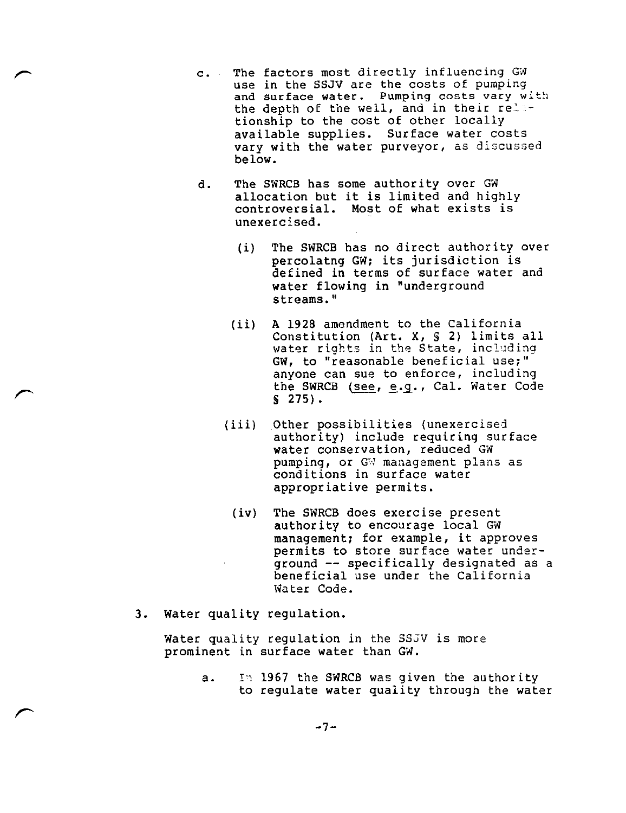- c. The factors most directly influencing Gw use in the SSJV are the costs of pumping and surface water. Pumping costs vary with the depth of the well, and in their relationship to the cost of other locally available supplies. Surface water costs vary with the water purveyor, as discussed below.
- d. The SWRCB has some authority over GW allocation but it is limited and highly controversial. Most of what exists is unexercised.
	- (i) The SWRCB has no direct authority over percolatng GW; its jurisdiction is defined in terms of surface water and water flowing in "underground streams."
	- (ii) A 1928 amendment to the California Constitution (Art. X, § 2) limits all water rights in the State, including GW, to "reasonable beneficial use;" anyone can sue to enforce, including the SWRCB (see, e.g., Cal. Water Code  $$275$ .
	- (iii) Other possibilities (unexercisei authority) include requiring surface water conservation, reduced GW pumping, or GW management plans as conditions in surface water appropriative permits.
	- (iv) The SWRCB does exercise present authority to encourage local GW management; for example, it approves permits to store surface water underground -- specifically designated as a beneficial use under the California Water Code.
- 3. Water quality regulation.

Water quality regulation in the SSJV is more prominent in surface water than GW.

> a. In 1967 the SWRCB was given the authority to regulate water quality through the water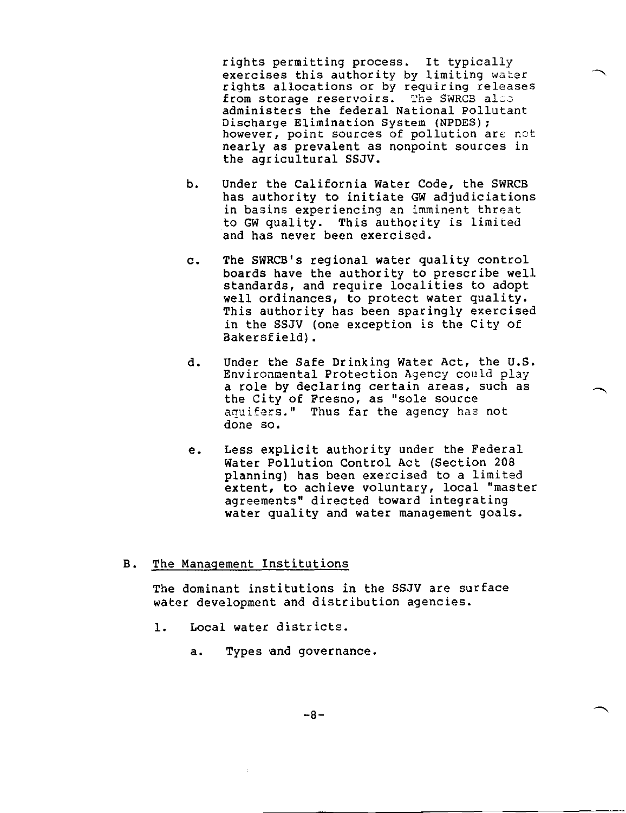rights permitting process. It typically exercises this authority by limiting water rights allocations or by requiring releases from storage reservoirs. The SWRCB also administers the federal National Pollutant Discharge Elimination System (NPDES); however, point sources of pollution are not nearly as prevalent as nonpoint sources in the agricultural SSJV.

- b. Under the California Water Code, the SWRCB has authority to initiate GW adjudiciations in basins experiencing an imminent threat to GW quality. This authority is limited and has never been exercised.
- c. The SWRCB's regional water quality control boards have the authority to prescribe well standards, and require localities to adopt well ordinances, to protect water quality. This authority has been sparingly exercised in the SSJV (one exception is the City of Bakersfield).
- d. Under the Safe Drinking Water Act, the U.S. Environmental Protection Agency could play a role by declaring certain areas, such as the City of Fresno, as "sole source acuifers." Thus far the agency has not done so.
- e. Less explicit authority under the Federal Water Pollution Control Act (Section 208 planning) has been exercised to a limited extent, to achieve voluntary, local "master agreements" directed toward integrating water quality and water management goals.

#### B. The Management Institutions

The dominant institutions in the SSJV are surface water development and distribution agencies.

- 1. Local water districts.
	- a. Types and governance.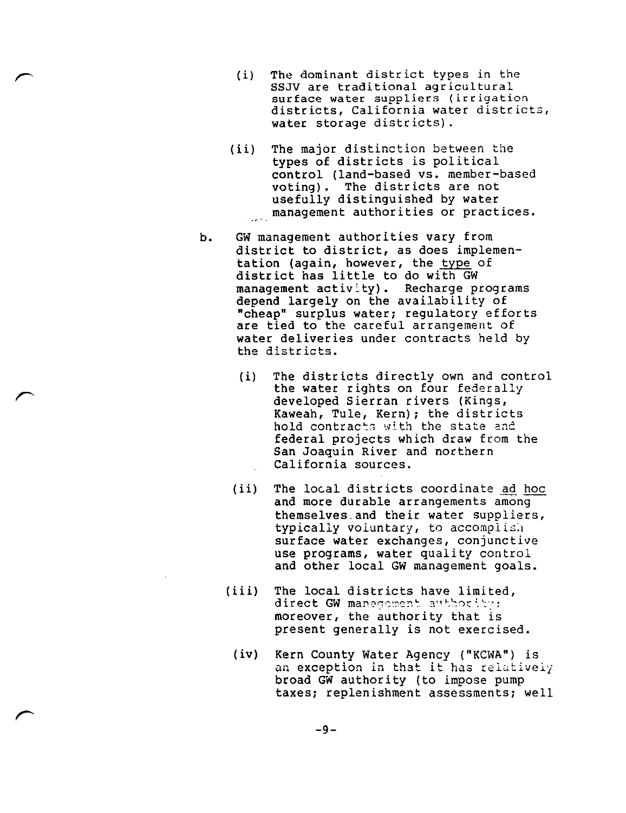- (i) The dominant district types in the SSJv are traditional agricultural surface water suppliers (irrigation districts, California water districts, water storage districts).
- (ii) The major distinction between the types of districts is political control (land-based vs. member-based voting). The districts are not usefully distinguished by water management authorities or practices.
- b. GW management authorities vary from district to district, as does implementation (again, however, the type of district has little to do with GW management activity). Recharge programs depend largely on the availability of "cheap" surplus water; regulatory efforts are tied to the careful arrangement of water deliveries under contracts held by the districts.
	- (i) The districts directly own and control the water rights on four federally developed Sierran rivers (Kings, Kaweah, Tule, Kern); the districts hold contracts with the state and federal projects which draw from the San Joaquin River and northern California sources.
	- (ii) The local districts coordinate ad hoc and more durable arrangements among themselves.and their water suppliers, typically voluntary, to accomplish surface water exchanges, conjunctive use programs, water quality control and other local GW management goals.
	- (iii) The local districts have limited, direct GW management authority; moreover, the authority that is present generally is not exercised.
	- (iv) Kern County Water Agency ("KCWA") is an exception in that it has relatively broad GW authority (to impose pump taxes; replenishment assessments; well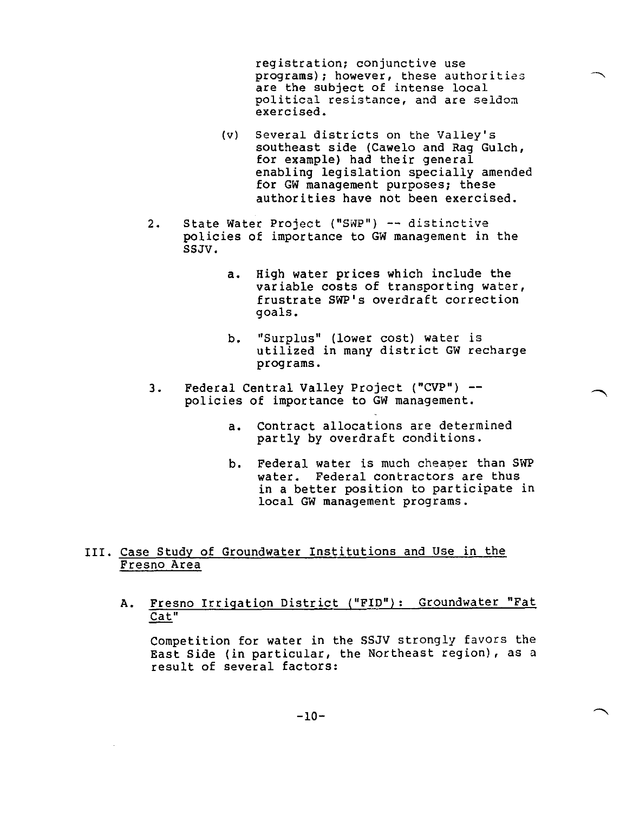registration; conjunctive use programs); however, these authorities are the subject of intense local political resistance, and are seldom exercised.

- (v) Several districts on the Valley's southeast side (Cawelo and Rag Gulch, for example) had their general enabling legislation specially amended for GW management purposes; these authorities have not been exercised.
- 2. State Water Project ("SWP") -- distinctive policies of importance to GW management in the SSJV.
	- a. High water prices which include the variable costs of transporting water, frustrate SWP's overdraft correction goals.
	- b. "Surplus" (lower cost) water is utilized in many district GW recharge programs.
- 3. Federal Central Valley Project ("CV?") policies of importance to GW management.
	- a. Contract allocations are determined partly by overdraft conditions.
	- b. Federal water is much cheaper than SW? water. Federal contractors are thus in a better position to participate in local GW management programs.

# III. Case Study of Groundwater Institutions and Use in the Fresno Area

A. Fresno Irrigation District ("FID"): Groundwater "Fat Cat"

Competition for water in the SSJV strongly favors the East Side (in particular, the Northeast region), as a result of several factors: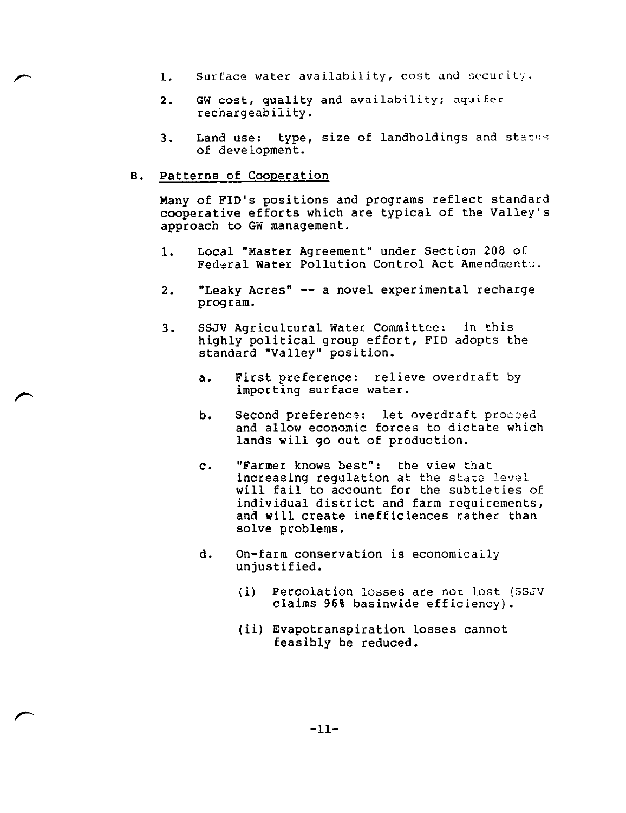- I. Surface water availability, cost and security.
- 2. Gw cost, quality and availability; aquifer rechargeability.
- 3. Land use: type, size of landholdings and status of development.
- B. Patterns of Cooperation

Many of FID's positions and programs reflect standard cooperative efforts which are typical of the Valley's approach to OW management.

- 1. Local "Master Agreement" under Section 208 of Federal Water Pollution Control Act Amendments.
- 2. "Leaky Acres" -- a novel experimental recharge program.
- 3. SSJV Agricultural Water Committee: in this highly political group effort, FID adopts the standard "Valley" position.
	- a. First preference: relieve overdraft by importing surface water.
	- b. Second preference: let overdraft proceed and allow economic forces to dictate which lands will go out of production.
	- c. "Farmer knows best": the view that increasing regulation at the stare level will fail to account for the subtleties of individual district and farm requirements, and will create inefficiences rather than solve problems.
	- d. On-farm conservation is economically unjustified.
		- (i) Percolation losses are not lost (SSJV claims 96% basinwide efficiency).
		- (ii) Evapotranspiration losses cannot feasibly be reduced.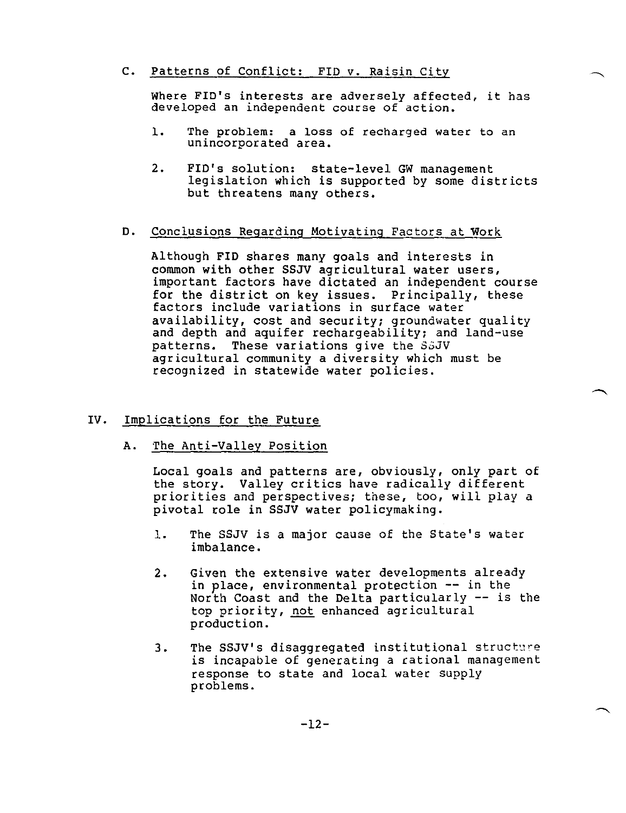C. Patterns of Conflict: FID v. Raisin City

Where FID's interests are adversely affected, it has developed an independent course of action.

- 1. The problem: a loss of recharged water to an unincorporated area.
- 2. FID's solution: state-level GW management legislation which is supported by some districts but threatens many others.

#### D. Conclusions Regarding Motivating Factors at Mork

Although FID shares many goals and interests in common with other SSJV agricultural water users, important factors have dictated an independent course for the district on key issues. Principally, these factors include variations in surface water availability, cost and security; groundwater quality and depth and aquifer rechargeability; and land-use patterns. These variations give the SSJV agricultural community a diversity which must be recognized in statewide water policies.

#### IV. Implications for the Future

A. The Anti-Valley Position

Local goals and patterns are, obviously, only part of the story. Valley critics have radically different priorities and perspectives; these, too, will play a pivotal role in SSJV water policymaking.

- 1. The SSJV is a major cause of the State's water imbalance.
- 2. Given the extensive water developments already in place, environmental protection -- in the North Coast and the Delta particularly -- is the top priority, not enhanced agricultural production.
- 3. The SSJV's disaggregated institutional structure is incapable of generating a rational management response to state and local water supply problems.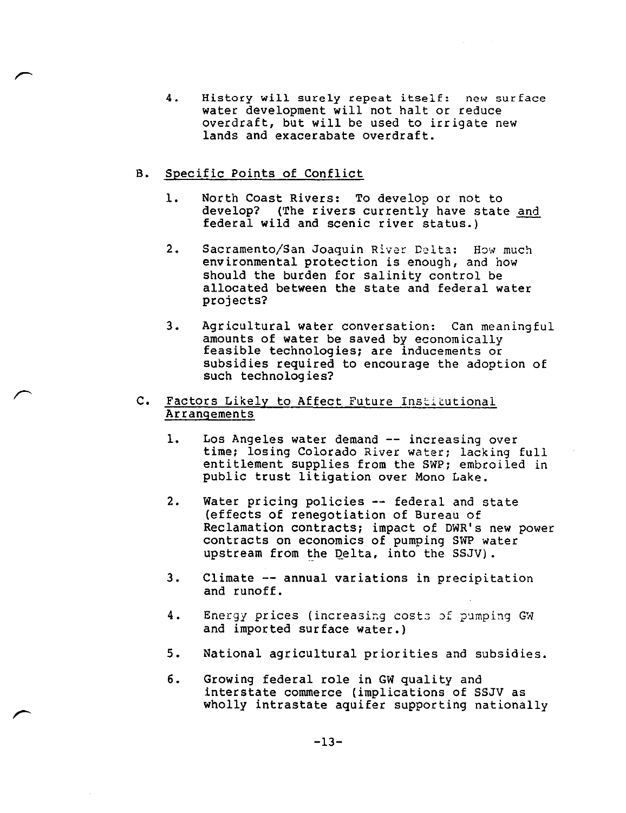4. History will surely repeat itself: new surface water development will not halt or reduce overdraft, but will be used to irrigate new lands and exacerabate overdraft.

#### B. Specific Points of Conflict

- 1. North Coast Rivers: To develop or not to develop? (The rivers currently have state and federal wild and scenic river status.)
- 2. Sacramento/San Joaquin River Delta: How much environmental protection is enough, and how should the burden for salinity control be allocated between the state and federal water projects?
- 3. Agricultural water conversation: Can meaningful amounts of water be saved by economically feasible technologies; are inducements or subsidies required to encourage the adoption of such technologies?

# C. Factors Likely to Affect Future Institutional Arrangements

- 1. Los Angeles water demand -- increasing over time; losing Colorado River water; lacking full entitlement supplies from the SWP; embroiled in public trust litigation over Mono Lake.
- 2. Water pricing policies -- federal and state (effects of renegotiation of Bureau of Reclamation contracts; impact of DWR's new power contracts on economics of pumping SWP water upstream from the Delta, into the SSJV).
- 3. Climate -- annual variations in precipitation and runoff.
- 4. Energy prices (increasing costs of pumping GW and imported surface water.)
- 5. National agricultural priorities and subsidies.
- 6. Growing federal role in GW quality and interstate commerce (implications of SSJV as wholly intrastate aquifer supporting nationally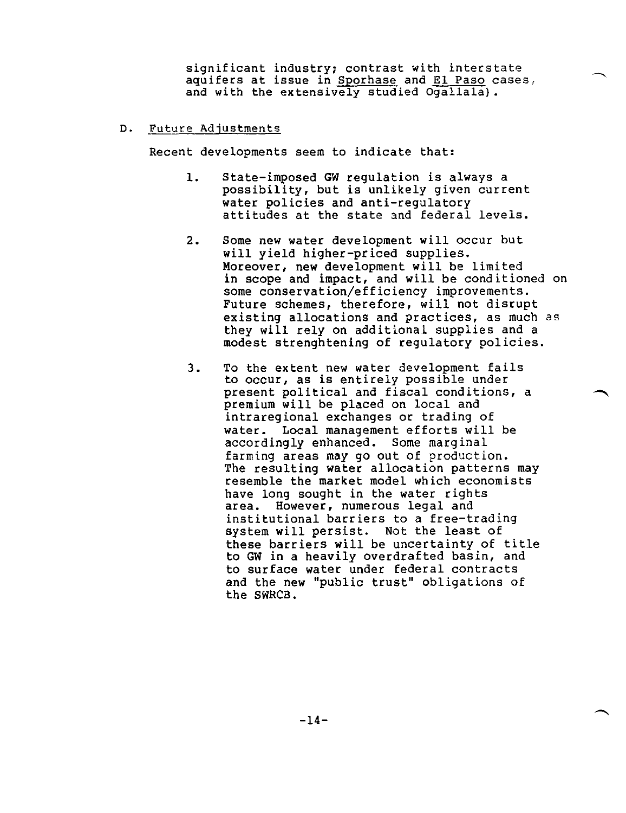significant industry; contrast with interstate aquifers at issue in Sporhase and El Paso cases, and with the extensively studied Ogallala).

#### D. Future Adjustments

Recent developments seem to indicate that:

- 1. State-imposed GW regulation is always a possibility, but is unlikely given current water policies and anti-regulatory attitudes at the state and federal levels.
- 2. Some new water development will occur but will yield higher-priced supplies. Moreover, new development will be limited in scope and impact, and will be conditioned on some conservation/efficiency improvements. Future schemes, therefore, will not disrupt existing allocations and practices, as much as they will rely on additional supplies and a modest strenghtening of regulatory policies.
- 3. To the extent new water development fails to occur, as is entirely possible under present political and fiscal conditions, a premium will be placed on local and intraregional exchanges or trading of water. Local management efforts will be accordingly enhanced. Some marginal farming areas may go out of production. The resulting water allocation patterns may resemble the market model which economists have long sought in the water rights area. However, numerous legal and institutional barriers to a free-trading system will persist. Not the least of these barriers will be uncertainty of title to GW in a heavily overdrafted basin, and to surface water under federal contracts and the new "public trust" obligations of the SWRCB.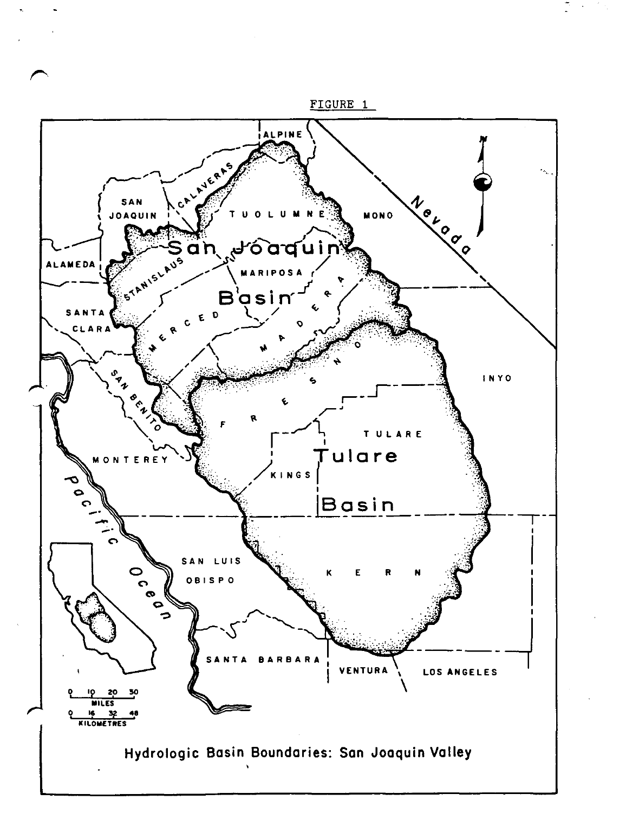

\*.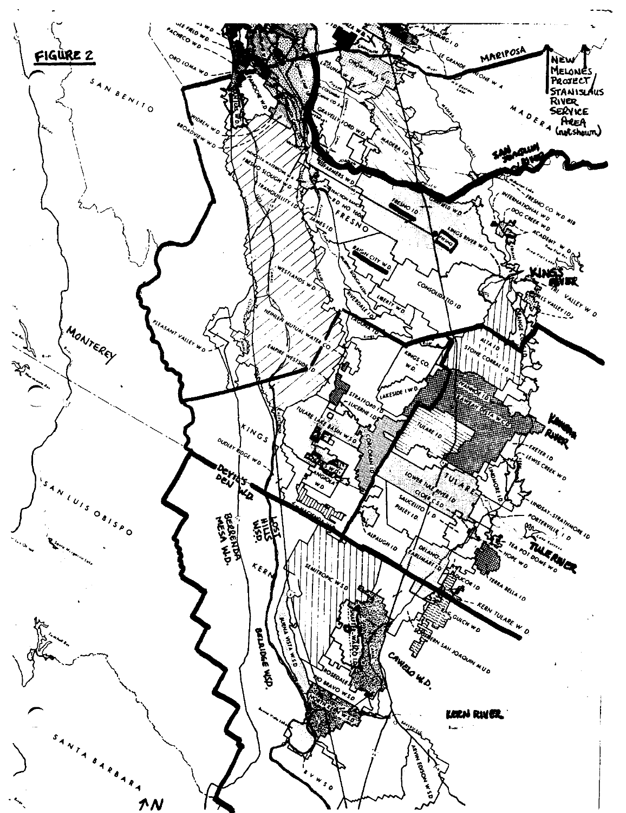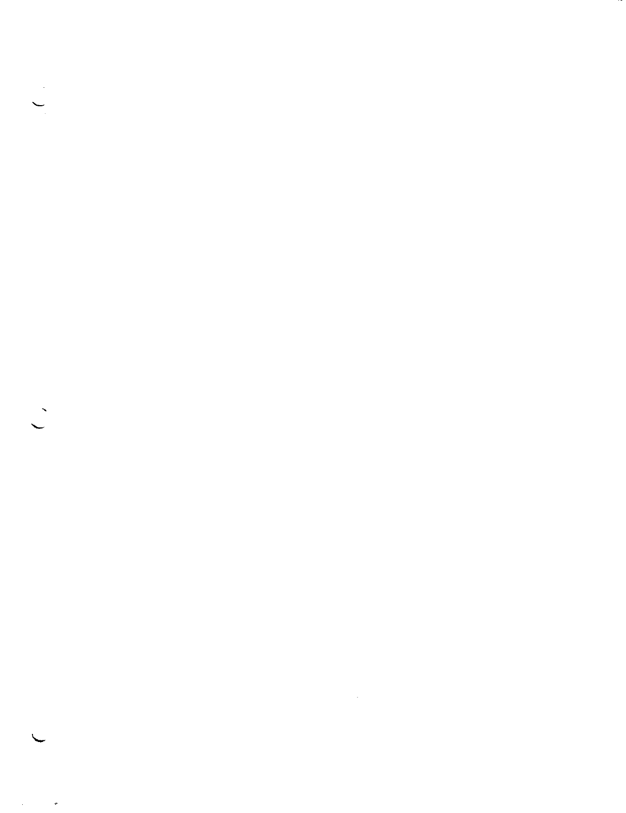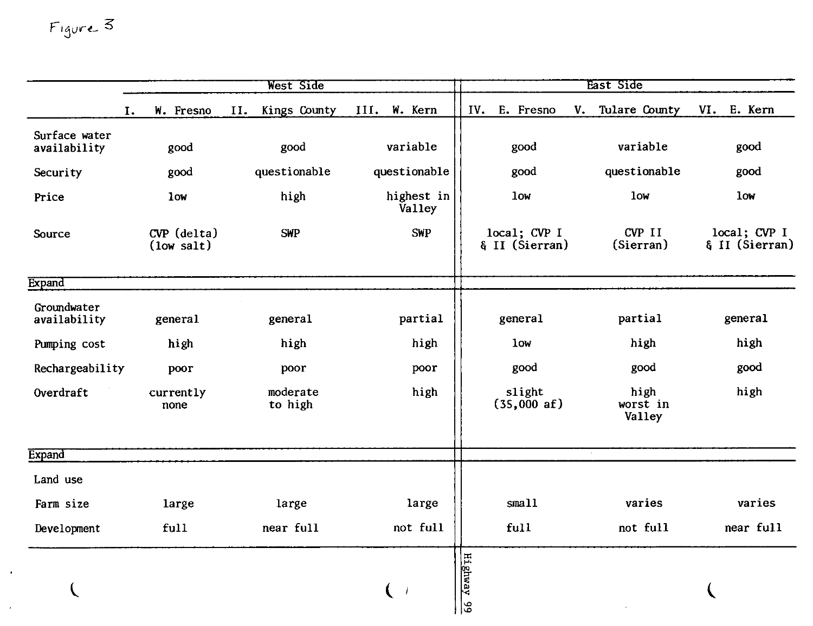$\mathcal{A}$ 

 $\mathcal{L}_{\mathcal{A}}$ 

|                               |                                                                                           | West Side           |                      | East Side                       |                            |                                |  |  |
|-------------------------------|-------------------------------------------------------------------------------------------|---------------------|----------------------|---------------------------------|----------------------------|--------------------------------|--|--|
|                               | W. Fresno<br>I.                                                                           | Kings County<br>II. | III.<br>W. Kern      | E. Fresno<br>IV.<br>V.          | Tulare County              | VI. E. Kern                    |  |  |
| Surface water<br>availability | good                                                                                      | good                | variable             | good                            | variable                   | good                           |  |  |
| Security                      | good                                                                                      | questionable        | questionable         | good                            | good                       |                                |  |  |
| Price                         | 1 <sub>ow</sub>                                                                           | high                | highest in<br>Valley | 1ow                             | <b>low</b>                 |                                |  |  |
| Source                        | <b>SWP</b><br><b>SWP</b><br>$CVP$ (delta)<br>local; CVP I<br>§ II (Sierran)<br>(low salt) |                     |                      |                                 | CVP II<br>(Sierran)        | local; CVP I<br>ξ II (Sierran) |  |  |
| <b>Expand</b>                 |                                                                                           |                     |                      |                                 | $\alpha$ , $\alpha$        |                                |  |  |
| Groundwater<br>availability   | general                                                                                   | general             | partial              | general                         | partial<br>general         |                                |  |  |
| Pumping cost                  | high                                                                                      | high                | high                 | high<br>1 <sub>ow</sub>         |                            | high                           |  |  |
| Rechargeability               | poor                                                                                      | poor                | poor                 | good<br>good                    |                            | good                           |  |  |
| Overdraft                     | currently<br>none                                                                         | moderate<br>to high | high                 | slight<br>$(35,000 \text{ af})$ | high<br>worst in<br>Valley | high                           |  |  |
| <b>Expand</b>                 |                                                                                           |                     |                      |                                 |                            |                                |  |  |
| Land use                      |                                                                                           |                     |                      |                                 |                            |                                |  |  |
| Farm size                     | large                                                                                     | large               | large                | $s$ mall<br>varies              |                            | varies                         |  |  |
| Development                   | full                                                                                      | near full           | not full             | ful1                            | not full                   | near full                      |  |  |
|                               |                                                                                           |                     |                      | Highway                         |                            |                                |  |  |
|                               |                                                                                           |                     |                      | ಹಿ                              |                            |                                |  |  |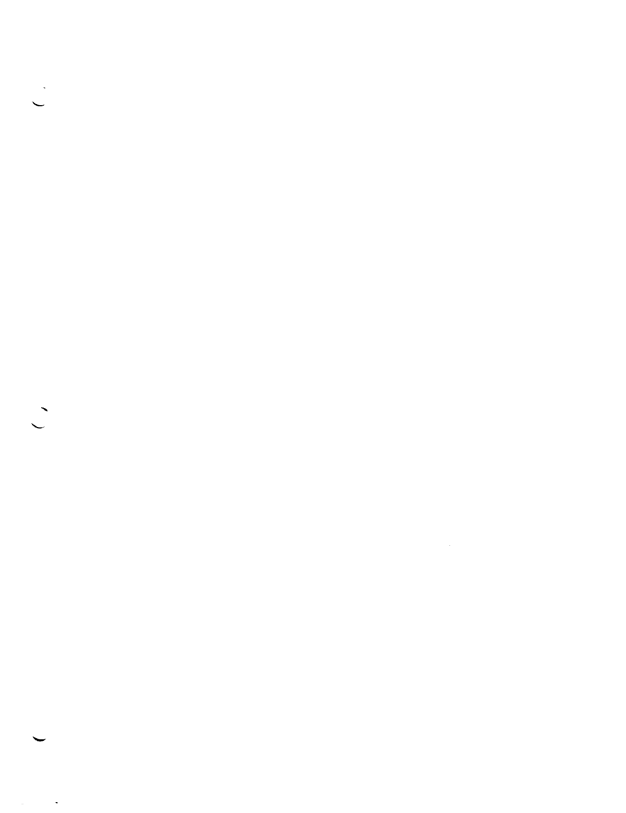$\langle S_{\rm{eff}} \rangle$ 

 $\frac{1}{2} \sum_{i=1}^n \frac{1}{2} \sum_{j=1}^n \frac{1}{2} \sum_{j=1}^n \frac{1}{2} \sum_{j=1}^n \frac{1}{2} \sum_{j=1}^n \frac{1}{2} \sum_{j=1}^n \frac{1}{2} \sum_{j=1}^n \frac{1}{2} \sum_{j=1}^n \frac{1}{2} \sum_{j=1}^n \frac{1}{2} \sum_{j=1}^n \frac{1}{2} \sum_{j=1}^n \frac{1}{2} \sum_{j=1}^n \frac{1}{2} \sum_{j=1}^n \frac{1}{2} \sum_{j=$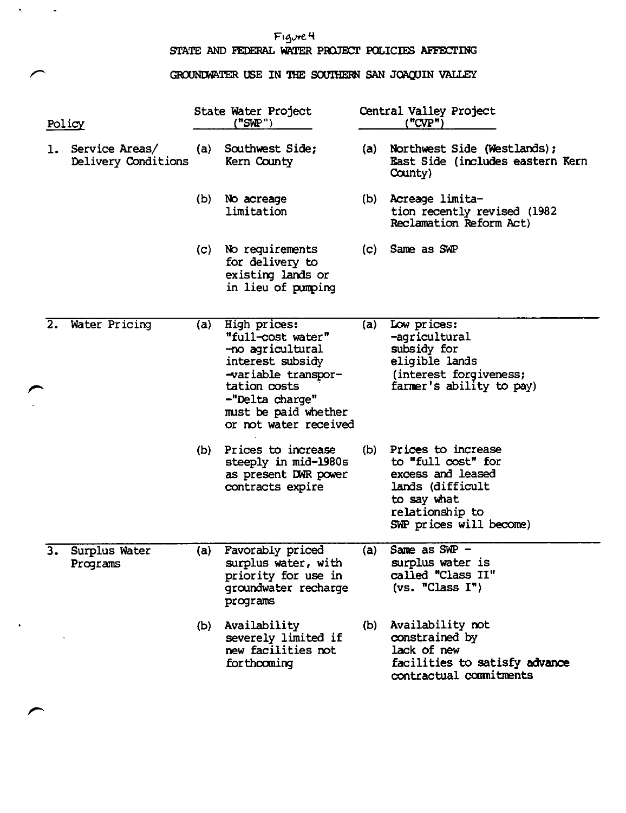Figavt4

 $\mathbf{g}^{\dagger}$ 

∕

 $\sim$ 

STATE AND FEDERAL WATER PROJECT POLICIES AFFECTING

GROUNDWATER USE IN THE SOUTHERN SAN JOAQUIN VALLEY

| Policy |                                       | State Water Project<br>("SWP") |                                                                                                                                                                                      | Central Valley Project<br>("CVP") |                                                                                                                                                |  |
|--------|---------------------------------------|--------------------------------|--------------------------------------------------------------------------------------------------------------------------------------------------------------------------------------|-----------------------------------|------------------------------------------------------------------------------------------------------------------------------------------------|--|
| ı.     | Service Areas/<br>Delivery Conditions | (a)                            | Southwest Side;<br>Kern County                                                                                                                                                       | (a)                               | Northwest Side (Westlands);<br>East Side (includes eastern Kern<br>County)                                                                     |  |
|        |                                       | (b)                            | No acreage<br>limitation                                                                                                                                                             | (b)                               | Acreage limita-<br>tion recently revised (1982<br>Reclamation Reform Act)                                                                      |  |
|        |                                       | (c)                            | No requirements<br>for delivery to<br>existing lands or<br>in lieu of pumping                                                                                                        | (c)                               | Same as SWP                                                                                                                                    |  |
| 2.     | Water Pricing                         | (a)                            | High prices:<br>"full-cost water"<br>-no agricultural<br>interest subsidy<br>-variable transpor-<br>tation costs<br>-"Delta charge"<br>must be paid whether<br>or not water received | (a)                               | Low prices:<br>-agricultural<br>subsidy for<br>eligible lands<br>(interest forgiveness;<br>farmer's ability to pay)                            |  |
|        |                                       | (b)                            | Prices to increase<br>steeply in mid-1980s<br>as present DWR power<br>contracts expire                                                                                               | (b)                               | Prices to increase<br>to "full cost" for<br>excess and leased<br>lands (difficult<br>to say what<br>relationship to<br>SWP prices will become) |  |
| З.     | Surplus Water<br>Programs             | (a)                            | Favorably priced<br>surplus water, with<br>priority for use in<br>groundwater recharge<br>programs                                                                                   | (a)                               | Same as SWP -<br>surplus water is<br>called "Class II"<br>(vs. "Class I")                                                                      |  |
|        |                                       | (b)                            | Availability<br>severely limited if<br>new facilities not<br>for thooming                                                                                                            | (b)                               | Availability not<br>constrained by<br>lack of new<br>facilities to satisfy advance<br>contractual commitments                                  |  |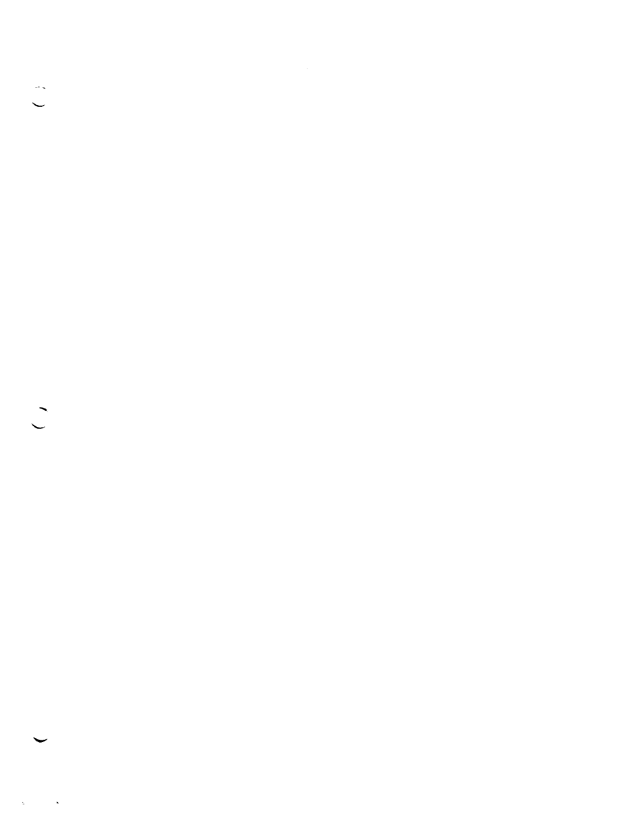$\sigma^2$   $\sim$ 

 $\label{eq:2.1} \frac{1}{2} \left( \frac{1}{2} \right) \left( \frac{1}{2} \right) \left( \frac{1}{2} \right) \left( \frac{1}{2} \right)$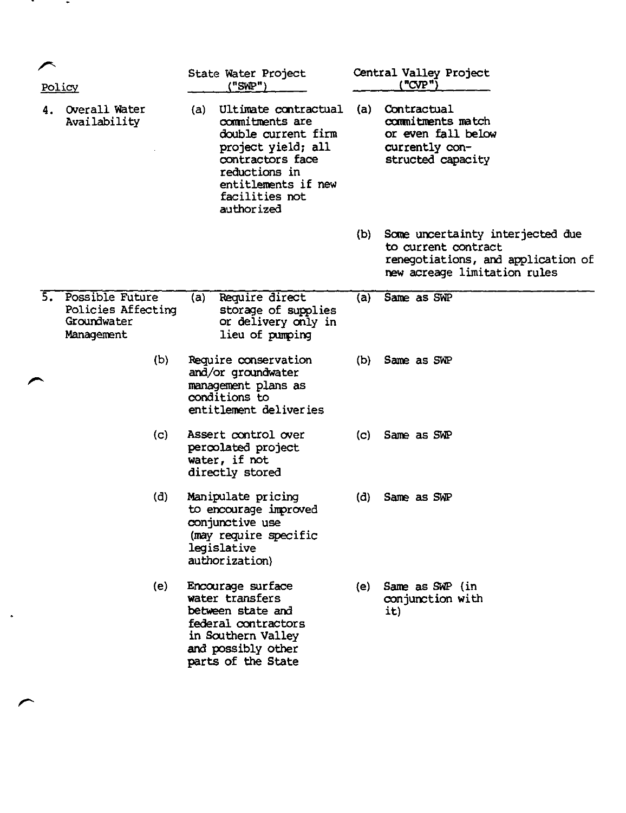| Policy |                                                                    | State Water Project<br>("SWP")                                                                                                                                                          | Central Valley Project<br>("CVP") |                                                                                                                               |  |
|--------|--------------------------------------------------------------------|-----------------------------------------------------------------------------------------------------------------------------------------------------------------------------------------|-----------------------------------|-------------------------------------------------------------------------------------------------------------------------------|--|
| 4.     | Overall Water<br>Availability                                      | Ultimate contractual<br>(a)<br>commitments are<br>double current firm<br>project yield; all<br>contractors face<br>reductions in<br>entitlements if new<br>facilities not<br>authorized |                                   | (a) Contractual<br>commitments match<br>or even fall below<br>currently con-<br>structed capacity                             |  |
|        |                                                                    |                                                                                                                                                                                         | (b)                               | Some uncertainty interjected due<br>to current contract<br>renegotiations, and application of<br>new acreage limitation rules |  |
| 5.     | Possible Future<br>Policies Affecting<br>Groundwater<br>Management | Require direct<br>(a)<br>storage of supplies<br>or delivery only in<br>lieu of pumping                                                                                                  | (a)                               | Same as SWP                                                                                                                   |  |
|        | (b)                                                                | Require conservation<br>and/or groundwater<br>management plans as<br>conditions to<br>entitlement deliveries                                                                            | (b)                               | Same as SWP                                                                                                                   |  |
|        | (c)                                                                | Assert control over<br>percolated project<br>water, if not<br>directly stored                                                                                                           | (C) —                             | Same as SWP                                                                                                                   |  |
|        | (d)                                                                | Manipulate pricing<br>to encourage improved<br>conjunctive use<br>(may require specific<br>legislative<br>authorization)                                                                |                                   | Same as SWP                                                                                                                   |  |
|        | (e)                                                                | Encourage surface<br>water transfers<br>between state and<br>federal contractors<br>in Southern Valley<br>and possibly other<br>parts of the State                                      | (e)                               | Same as SWP (in<br>conjunction with<br>it)                                                                                    |  |

 $\ddot{\phantom{0}}$